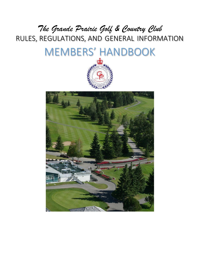RULES, REGULATIONS, AND GENERAL INFORMATION *The Grande Prairie Golf & Country Club*

# MEMBERS' HANDBOOK



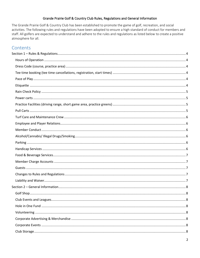## Grande Prairie Golf & Country Club Rules, Regulations and General Information

The Grande Prairie Golf & Country Club has been established to promote the game of golf, recreation, and social activities. The following rules and regulations have been adopted to ensure a high standard of conduct for members and staff. All golfers are expected to understand and adhere to the rules and regulations as listed below to create a positive atmosphere for all.

## Contents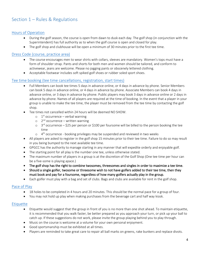# <span id="page-3-0"></span>Section 1 – Rules & Regulations

## <span id="page-3-1"></span>[Hours of Operation](#page-3-1)

- During the golf season, the course is open from dawn to dusk each day. The golf shop (in conjunction with the Superintendent) has full authority as to when the golf course is open and closed for play.
- The golf shop and clubhouse will be open a minimum of 30 minutes prior to the first tee time.

#### <span id="page-3-2"></span>Dress Code [\(course, practice area\)](#page-3-2)

- The course encourages men to wear shirts with collars, sleeves are mandatory. Women's tops must have a form of shoulder strap. Pants and shorts for both men and women should be tailored, and conform to activewear, jeans are welcome. Please no jogging pants or obscenely lettered clothing.
- Acceptable footwear includes soft spiked golf shoes or rubber soled sport shoes.

#### <span id="page-3-3"></span>[Tee time booking \(tee time cancellations, registration, start times\)](#page-3-3)

- Full Members can book tee times 5 days in advance online, or 4 days in advance by phone. Senior Members can book 5 days in advance online, or 4 days in advance by phone. Associate Members can book 4 days in advance online, or 3 days in advance by phone. Public players may book 3 days in advance online or 2 days in advance by phone. Names of all players are required at the time of booking. In the event that a player in your group is unable to make the tee time, the player must be removed from the tee time by contacting the golf shop.
- Tee times not cancelled within 24 hours will be deemed NO SHOW.
	- $\circ$  1<sup>st</sup> occurrence verbal warning
	- o 2<sup>nd</sup> occurrence written warning
	- $\circ$  3<sup>rd</sup> occurrence \$25 per person or \$100 per foursome will be billed to the person booking the tee time
	- $\circ$  4<sup>th</sup> occurrence booking privileges may be suspended and reviewed in two weeks
- All players are asked to register in the golf shop 15 minutes prior to their tee time. Failure to do so may result in you being bumped to the next available tee time.
- GPGCC has the authority to manage starting in any manner that will expedite orderly and enjoyable golf.
- The starting point for all play is the number one tee, unless otherwise stated.
- The maximum number of players in a group is at the discretion of the Golf Shop (One tee time per hour can be a five-some is playing apace.)
- The golf shop has the right to combine twosomes, threesomes and singles in order to maximize a tee time.
- Should a single golfer, twosome or threesome wish to not have golfers added to their tee time, then they must book and pay for a foursome, regardless of how many golfers actually play in the group.
- Each golfer must play with a bag and set of clubs. Bags and clubs are available for rent in the golf shop.

## <span id="page-3-4"></span>[Pace of Play](#page-3-4)

- 18 holes to be completed in 4 hours and 20 minutes. This should be the normal pace for a group of four.
- You may not hold up play when making purchases from the beverage cart and half way kiosk.

#### <span id="page-3-5"></span>**[Etiquette](#page-3-5)**

- Etiquette would suggest that the group in front of you is no more than one shot ahead. To maintain etiquette, it is recommended that you walk faster, be better prepared as you approach your turn, or pick up your ball to catch up. If these suggestions do not work, please invite the group playing behind you to play through.
- Music on the course is welcome at a volume for your own personal enjoyment.
- Good sportsmanship must be exhibited at all times.
- Players are reminded to take great care to repair all ball marks on greens, rake bunkers and replace divots.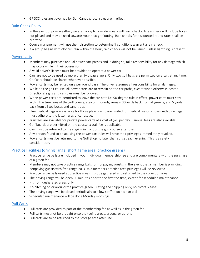• GPGCC rules are governed by Golf Canada, local rules are in effect.

## <span id="page-4-0"></span>[Rain Check Policy](#page-4-0)

- In the event of poor weather, we are happy to provide guests with rain checks. A rain check will include holes not played and may be used towards your next golf outing. Rain checks for discounted round rates shall be prorated.
- Course management will use their discretion to determine if conditions warrant a rain check.
- If a group begins with obvious rain within the hour, rain checks will not be issued, unless lightning is present.

## <span id="page-4-1"></span>[Power carts](#page-4-1)

- Members may purchase annual power cart passes and in doing so, take responsibility for any damage which may occur while in their possession.
- A valid driver's license must be provided to operate a power car.
- Cars are not to be used by more than two passengers. Only two golf bags are permitted on a car, at any time. Golf cars should be shared whenever possible.
- Power carts may be rented on a per round basis. The driver assumes all responsibility for all damages.
- While on the golf course, all power carts are to remain on the car paths, except when otherwise posted. Directional signs and car rules must be followed.
- When power carts are permitted to leave the car path i.e. 90-degree rule in effect, power carts must stay within the tree lines of the golf course, stay off mounds, remain 30 yards back from all greens, and 5 yards back from all tee boxes and sand traps.
- Blue medical flags are available for those playing who are limited for medical reasons. Cars with blue flags must adhere to the latter rules of car usage.
- Trail fees are available for private power carts at a cost of \$20 per day annual fees are also available
- Golf boards are permitted on the course, a trail fee is applicable.
- Cars must be returned to the staging in front of the golf course after use.
- Any person found to be abusing the power cart rules will have their privileges immediately revoked.
- Power carts must be returned to the Golf Shop no later than sunset each evening. This is a safety consideration.

## <span id="page-4-2"></span>Practice Facilities (driving range, [short game area, practice greens\)](#page-4-2)

- Practice range balls are included in your individual membership fee and are complimentary with the purchase of a green fee.
- Members may not take practice range balls for nonpaying guests. In the event that a member is providing nonpaying guests with free range balls, said members practice area privileges will be reviewed.
- Practice range balls used at practice areas must be gathered and returned to the collection area.
- The driving range will be open 30 minutes prior to the first tee time, except for scheduled maintenance.
- Hit from designated areas only.
- No pitching on or around the practice green. Putting and chipping only; no divots please!
- The driving range will be closed periodically to allow staff to do a clean pick.
- Scheduled maintenance will be done Monday mornings.

## <span id="page-4-3"></span>[Pull Carts](#page-4-3)

- Pull carts are provided as part of the membership fee as well as in the green fee.
- Pull carts must not be brought onto the teeing areas, greens, or aprons.
- Pull carts are to be returned to the storage area after use.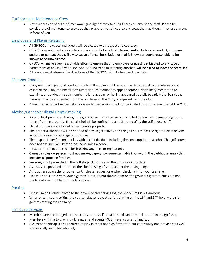## <span id="page-5-0"></span>[Turf Care and Maintenance Crew](#page-5-0)

Any play outside of set tee times **must** give right of way to all turf care equipment and staff. Please be considerate of maintenance crews as they prepare the golf course and treat them as though they are a group in front of you.

## <span id="page-5-1"></span>Employee [and Player](#page-5-1) Relations

- All GPGCC employees and guests will be treated with respect and courtesy.
- GPGCC does not condone or tolerate harassment of any kind. Harassment includes any conduct, comment, gesture or contact that is likely to cause offense, humiliation or that is known or ought reasonably to be known to be unwelcome.
- GPGCC will make every reasonable effort to ensure that no employee or guest is subjected to any type of harassment or abuse. Any person who is found to be mistreating another, will be asked to leave the premises.
- All players must observe the directions of the GPGCC staff, starters, and marshals.

## <span id="page-5-2"></span>[Member Conduct](#page-5-2)

- If any member is guilty of conduct which, in the opinion of the Board, is detrimental to the interests and assets of the Club, the Board may summon such member to appear before a disciplinary committee to explain such conduct. If such member fails to appear, or having appeared but fails to satisfy the Board, the member may be suspended from the privileges of the Club, or expelled from the Club.
- A member who has been expelled or is under suspension shall not be invited by another member at the Club.

## <span id="page-5-3"></span>[Alcohol/Cannabis/ Illegal Drugs/Smoking](#page-5-3)

- Alcohol NOT purchased through the golf course liquor license is prohibited by law from being brought onto the golf course property. Illegal alcohol will be confiscated and disposed of by the golf course staff.
- Illegal drugs are not allowed on golf course property.
- The proper authorities will be notified of any illegal activity and the golf course has the right to eject anyone who is in possession of illegal substances.
- The responsibility for conduct lies with each individual, including the consumption of alcohol. The golf course does not assume liability for those consuming alcohol.
- Intoxication is not an excuse for breaking any rules or regulations.
- Cannabis rules A person must not smoke, vape or consume cannabis in or within the clubhouse area this includes all practice facilities.
- Smoking is not permitted in the golf shop, clubhouse, or the outdoor dining deck.
- Ashtrays are provided in front of the clubhouse, golf shop, and at the driving range.
- Ashtrays are available for power carts, please request one when checking in for your tee time.
- Please be courteous with your cigarette butts, do not throw them on the ground. Cigarette butts are not biodegradable and blemish the landscape.

#### <span id="page-5-4"></span>[Parking](#page-5-4)

- Please limit all vehicle traffic to the driveway and parking lot, the speed limit is 30 km/hour.
- When entering, and exiting the course, please respect golfers playing on the  $13<sup>th</sup>$  and  $14<sup>th</sup>$  hole, watch for golfers crossing the roadway.

## <span id="page-5-5"></span>[Handicap Services](#page-5-5)

- Members are encouraged to post scores at the Golf Canada Handicap terminal located in the golf shop.
- Members wishing to play in club leagues and events MUST have a current handicap.
- A current handicap is also required to play in sanctioned golf events in our community and province, as well as nationally and internationally.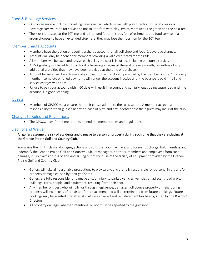## <span id="page-6-0"></span>[Food & Beverage Services](#page-6-0)

- On course service includes travelling beverage cars which move with play direction for safety reasons. Beverage cars will stop for service so not to interfere with play, typically between the green and the next tee.
- The Kiosk is located at the  $10^{th}$  tee and is intended for brief stops for refreshments and food service. If a group chooses to have an extended stop here, they may lose their position for the  $10^{th}$  tee.

## <span id="page-6-1"></span>[Member Charge Accounts](#page-6-1)

- Members have the option of opening a charge account for all golf shop and food & beverage charges.
- Accounts will only be opened for members providing a valid credit card for their file.
- All members will be expected to sign each bill as the cost is incurred, including on-course service.
- A 15% gratuity will be added to all food & beverage charges at the end of every month, regardless of any additional gratuities that may have been provided at the time of purchase.
- Account balances will be automatically applied to the credit card provided by the member on the  $7<sup>th</sup>$  of every month. Incomplete or failed payments will render the account inactive until the balance is paid in full and service charges will apply.
- Failure to pay your account within 60 days will result in account and golf privileges being suspended until the account is in good standing.

#### <span id="page-6-2"></span>[Guests](#page-6-2)

• Members of GPGCC must ensure that their guests adhere to the rules set out. A member accepts all responsibility for their guest's behavior, pace of play, and any indebtedness their guest may incur at the club.

#### <span id="page-6-3"></span>[Changes to Rules and Regulations](#page-6-3)

• The GPGCC may, from time to time, amend the member rules and regulations.

#### <span id="page-6-4"></span>[Liability and Waiver](#page-6-4)

#### All golfers assume the risk of accidents and damage to person or property during such time that they are playing at the Grande Prairie Golf and Country Club.

You waive the rights, claims, damages, actions and suits that you may have, and forever discharge, hold harmless and indemnify the Grande Prairie Golf and Country Club, its managers, partners, members and employees from such damage, injury claims or loss of any kind arising out of your use of the facility of equipment provided by the Grande Prairie Golf and Country Club.

- Golfers will take all reasonable precautions to play safely, and are fully responsible for personal injury and/or property damage caused by their golf shots.
- Golfers are fully responsible for damage and/or injury to parked vehicles, vehicles on adjacent road ways, buildings, carts, people, and equipment, resulting from their shot.
- Any member or guest who willfully, or through negligence, damages golf course property or neighboring property will incur costs of repair and/or replacement and will be terminated from future bookings. Future bookings may be granted only after all costs are covered and reinstatement has been granted by the Board of Directors.
- <span id="page-6-5"></span>• All property damage, whether intentional or not must be reported to the golf shop.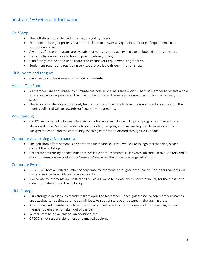# <span id="page-7-0"></span>Section 2 – [General Information](#page-6-5)

#### <span id="page-7-1"></span>[Golf Shop](#page-7-1)

- The golf shop is fully stocked to serve your golfing needs.
- Experienced PGA golf professionals are available to answer any questions about golf equipment, rules, instruction and news.
- A variety of lesson programs are available for every age and ability and can be booked in the golf shop.
- Demo clubs are available to try equipment before you buy.
- Club fittings can be done upon request to ensure your equipment is right for you.
- Equipment repairs and regripping services are available through the golf shop.

#### <span id="page-7-2"></span>[Club Events and Leagues](#page-7-2)

• Club Events and leagues are posted on our website.

#### <span id="page-7-3"></span>[Hole in One Fund](#page-7-3)

- All members are encouraged to purchase the hole in one insurance option. The first member to receive a hole in one and who has purchased the hole in one option will receive a free membership for the following golf season.
- This is non-transferable and can only be used by the winner. If a hole in one is not won for said season, the monies collected will go towards golf course improvements.

#### <span id="page-7-4"></span>[Volunteering](#page-7-4)

• GPGCC welcomes all volunteers to assist in club events. Assistance with junior programs and events are always welcome. Members wishing to assist with junior programming are required to have a criminal background check and the community coaching certification offered through Golf Canada.

## <span id="page-7-5"></span>[Corporate Advertising & Merchandise](#page-7-5)

- The golf shop offers personalized corporate merchandise. If you would like to logo merchandise, please contact the golf shop.
- Corporate advertising opportunities are available at tournaments, club events, on carts, in rain shelters and in our clubhouse. Please contact the General Manager or the office to arrange advertising.

## <span id="page-7-6"></span>[Corporate Events](#page-7-6)

- GPGCC will host a limited number of corporate tournaments throughout the season. These tournaments will sometimes interfere with tee time availability.
- Corporate tournaments are posted on the GPGCC website, please check back frequently for the most up to date information or call the golf shop.

#### <span id="page-7-7"></span>[Club Storage](#page-7-7)

- Club storage is available to members from April 1 to November 1 each golf season. When member's names are attached to tee times their clubs will be taken out of storage and staged in the staging area.
- After the round, member's clubs will be wiped and returned to their storage spot. In the wiping process, member's clubs are not taken out of the bag.
- Winter storage is available for an additional fee.
- GPGCC is not responsible for lost or damaged equipment.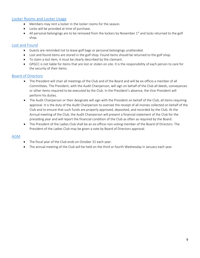## <span id="page-8-0"></span>[Locker Rooms and Locker Usage](#page-8-0)

- Members may rent a locker in the locker rooms for the season.
- Locks will be provided at time of purchase.
- All personal belongings are to be removed from the lockers by November  $1<sup>st</sup>$  and locks returned to the golf shop.

## <span id="page-8-1"></span>[Lost and Found](#page-8-1)

- Guests are reminded not to leave golf bags or personal belongings unattended.
- Lost and found items are stored in the golf shop. Found items should be returned to the golf shop.
- To claim a lost item, it must be clearly described by the claimant.
- GPGCC is not liable for items that are lost or stolen on site. It is the responsibility of each person to care for the security of their items.

## <span id="page-8-2"></span>[Board of Directors](#page-8-2)

- The President will chair all meetings of the Club and of the Board and will be ex-officio a member of all Committees. The President, with the Audit Chairperson, will sign on behalf of the Club all deeds, conveyances or other items required to be executed by the Club. In the President's absence, the Vice-President will perform his duties.
- The Audit Chairperson or their designate will sign with the President on behalf of the Club, all items requiring approval. It is the duty of the Audit Chairperson to oversee the receipt of all monies collected on behalf of the Club and to ensure that such funds are properly approved, deposited, and recorded by the Club. At the Annual meeting of the Club, the Audit Chairperson will present a financial statement of the Club for the preceding year and will report the financial condition of the Club as often as required by the Board.
- The President of the Ladies Club shall be an ex-officio non-voting member of the Board of Directors. The President of the Ladies Club may be given a vote by Board of Directors approval.

## <span id="page-8-3"></span>[AGM](#page-8-3)

- The fiscal year of the Club ends on October 31 each year.
- The annual meeting of the Club will be held on the third or fourth Wednesday in January each year.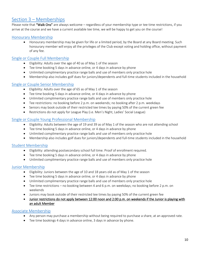# <span id="page-9-0"></span>Section 3 – [Memberships](#page-9-0)

Please note that "Walk Ons" are always welcome – regardless of your membership type or tee time restrictions, if you arrive at the course and we have a current available tee time, we will be happy to get you on the course!

## <span id="page-9-1"></span>[Honourary Membership](#page-9-1)

• Honourary membership may be given for life or a limited period, by the Board at any Board meeting. Such honourary member will enjoy all the privileges of the Club except voting and holding office, without payment of any fee.

#### <span id="page-9-2"></span>[Single or Couple Full Membership](#page-9-2)

- Eligibility: Adults over the age of 40 as of May 1 of the season
- Tee time booking 5 days in advance online, or 4 days in advance by phone
- Unlimited complimentary practice range balls and use of members only practice hole
- Membership also includes golf dues for juniors/dependents and full-time students included in the household

#### <span id="page-9-3"></span>[Single or Couple Senior Membership](#page-9-3)

- Eligibility: Adults over the age of 65 as of May 1 of the season
- Tee time booking 5 days in advance online, or 4 days in advance by phone
- Unlimited complimentary practice range balls and use of members only practice hole
- Tee restrictions: no booking before 2 p.m. on weekends; no booking after 2 p.m. weekdays
- Seniors may book outside of their restricted tee times by paying 50% of the current green fee
- Restrictions do not apply for League Play (i.e. Men's Night, Ladies' Social League)

#### <span id="page-9-4"></span>[Single or Couple Young Professional](#page-9-4) Membership

- Eligibility: Adults between the age of 19 and 39 as of May 1 of the season who are not attending school
- Tee time booking 5 days in advance online, or 4 days in advance by phone
- Unlimited complimentary practice range balls and use of members only practice hole
- Membership also includes golf dues for juniors/dependents and full-time students included in the household

#### <span id="page-9-5"></span>[Student Membership](#page-9-5)

- Eligibility: attending postsecondary school full time. Proof of enrollment required.
- Tee time booking 5 days in advance online, or 4 days in advance by phone
- Unlimited complimentary practice range balls and use of members only practice hole

#### <span id="page-9-6"></span>[Junior Membership](#page-9-6)

- Eligibility: Juniors between the age of 10 and 18 years old as of May 1 of the season
- Tee time booking 5 days in advance online, or 4 days in advance by phone
- Unlimited complimentary practice range balls and use of members only practice hole
- Tee time restrictions no booking between 4 and 6 p.m. on weekdays; no booking before 2 p.m. on weekends
- Juniors may book outside of their restricted tee times by paying 50% of the current green fee
- Junior restrictions do not apply between 12:00 noon and 2:00 p.m. on weekends if the Junior is playing with an adult Member

#### <span id="page-9-7"></span>Associate [Membership](#page-9-1)

- Any person may purchase a membership without being required to purchase a share, at an approved rate.
- Tee time bookings 4 days in advance online, 3 days in advance by phone.